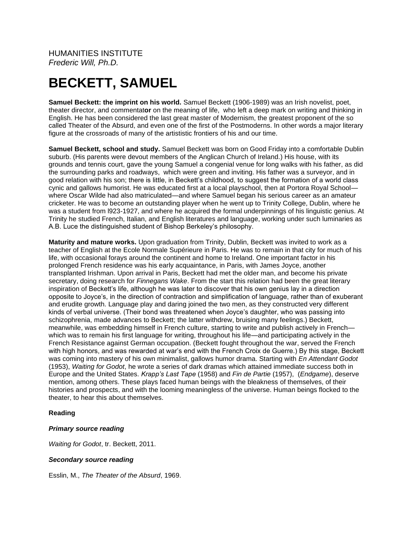HUMANITIES INSTITUTE *Frederic Will, Ph.D.*

# **BECKETT, SAMUEL**

**Samuel Beckett: the imprint on his world.** Samuel Beckett (1906-1989) was an Irish novelist, poet, theater director, and commentat**or** on the meaning of life, who left a deep mark on writing and thinking in English. He has been considered the last great master of Modernism, the greatest proponent of the so called Theater of the Absurd, and even one of the first of the Postmoderns. In other words a major literary figure at the crossroads of many of the artististic frontiers of his and our time.

**Samuel Beckett, school and study.** Samuel Beckett was born on Good Friday into a comfortable Dublin suburb. (His parents were devout members of the Anglican Church of Ireland.) His house, with its grounds and tennis court, gave the young Samuel a congenial venue for long walks with his father, as did the surrounding parks and roadways, which were green and inviting. His father was a surveyor, and in good relation with his son; there is little, in Beckett's childhood, to suggest the formation of a world class cynic and gallows humorist. He was educated first at a local playschool, then at Portora Royal School where Oscar Wilde had also matriculated—and where Samuel began his serious career as an amateur cricketer. He was to become an outstanding player when he went up to Trinity College, Dublin, where he was a student from l923-1927, and where he acquired the formal underpinnings of his linguistic genius. At Trinity he studied French, Italian, and English literatures and language, working under such luminaries as A.B. Luce the distinguished student of Bishop Berkeley's philosophy.

**Maturity and mature works.** Upon graduation from Trinity, Dublin, Beckett was invited to work as a teacher of English at the Ecole Normale Supérieure in Paris. He was to remain in that city for much of his life, with occasional forays around the continent and home to Ireland. One important factor in his prolonged French residence was his early acquaintance, in Paris, with James Joyce, another transplanted Irishman. Upon arrival in Paris, Beckett had met the older man, and become his private secretary, doing research for *Finnegans Wake*. From the start this relation had been the great literary inspiration of Beckett's life, although he was later to discover that his own genius lay in a direction opposite to Joyce's, in the direction of contraction and simplification of language, rather than of exuberant and erudite growth. Language play and daring joined the two men, as they constructed very different kinds of verbal universe. (Their bond was threatened when Joyce's daughter, who was passing into schizophrenia, made advances to Beckett; the latter withdrew, bruising many feelings.) Beckett, meanwhile, was embedding himself in French culture, starting to write and publish actively in French which was to remain his first language for writing, throughout his life—and participating actively in the French Resistance against German occupation. (Beckett fought throughout the war, served the French with high honors, and was rewarded at war's end with the French Croix de Guerre.) By this stage, Beckett was coming into mastery of his own minimalist, gallows humor drama. Starting with *En Attendant Godot* (1953), *Waiting for Godot*, he wrote a series of dark dramas which attained immediate success both in Europe and the United States. *Krapp's Last Tape* (1958) and *Fin de Partie* (1957), (*Endgame*), deserve mention, among others. These plays faced human beings with the bleakness of themselves, of their histories and prospects, and with the looming meaningless of the universe. Human beings flocked to the theater, to hear this about themselves.

#### **Reading**

#### *Primary source reading*

*Waiting for Godot*, tr. Beckett, 2011.

# *Secondary source reading*

Esslin, M., *The Theater of the Absurd*, 1969.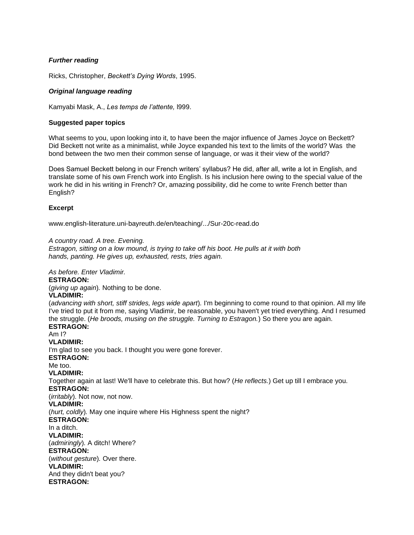# *Further reading*

Ricks, Christopher, *Beckett's Dying Words*, 1995.

# *Original language reading*

Kamyabi Mask, A., *Les temps de l'attente,* l999.

#### **Suggested paper topics**

What seems to you, upon looking into it, to have been the major influence of James Joyce on Beckett? Did Beckett not write as a minimalist, while Joyce expanded his text to the limits of the world? Was the bond between the two men their common sense of language, or was it their view of the world?

Does Samuel Beckett belong in our French writers' syllabus? He did, after all, write a lot in English, and translate some of his own French work into English. Is his inclusion here owing to the special value of the work he did in his writing in French? Or, amazing possibility, did he come to write French better than English?

# **Excerpt**

www.english-literature.uni-bayreuth.de/en/teaching/.../Sur-20c-read.do

#### *A country road. A tree. Evening.*

*Estragon, sitting on a low mound, is trying to take off his boot. He pulls at it with both hands, panting. He gives up, exhausted, rests, tries again.* 

*As before. Enter Vladimir.* **ESTRAGON:** (*giving up again*)*.* Nothing to be done. **VLADIMIR:** (*advancing with short, stiff strides, legs wide apart*)*.* I'm beginning to come round to that opinion. All my life I've tried to put it from me, saying Vladimir, be reasonable, you haven't yet tried everything. And I resumed the struggle. (*He broods, musing on the struggle. Turning to Estragon.*) So there you are again. **ESTRAGON:** Am I? **VLADIMIR:** I'm glad to see you back. I thought you were gone forever. **ESTRAGON:** Me too. **VLADIMIR:** Together again at last! We'll have to celebrate this. But how? (*He reflects.*) Get up till I embrace you. **ESTRAGON:** (*irritably*)*.* Not now, not now. **VLADIMIR:** (*hurt, coldly*)*.* May one inquire where His Highness spent the night? **ESTRAGON:** In a ditch. **VLADIMIR:** (*admiringly*)*.* A ditch! Where? **ESTRAGON:** (*without gesture*)*.* Over there. **VLADIMIR:** And they didn't beat you? **ESTRAGON:**